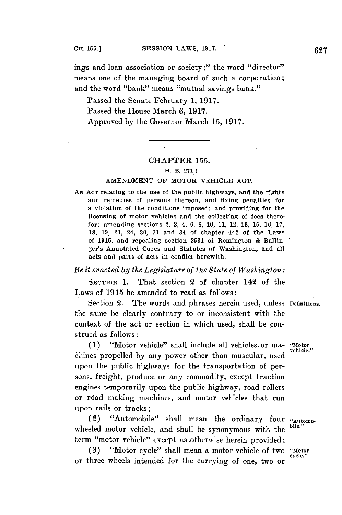ings and loan association or society;" the word "director" means one of the managing board of such a corporation; and **the** word "bank" means "mutual savings bank."

Passed the Senate February **1, 1917.** Passed the House March **6, 1917.** Approved **by** the Governor March **15, 1917.**

# CHAPTER **155.**

### **[H. B. 271.]**

# **AMENDMENT** OF MOTOR VEHICLE **ACT.**

**AN ACT** relating to the use of the public highways, and the rights and remedies of persons thereon, and fixing penalties for a violation of the conditions imposed; and providing for the licensing of motor vehicles and the collecting of fees therefor; amending sections 2, **3,** 4, **6, 8, 10, 11,** 12, **13, 15, 16, 17, 18, 19,** 21, 24, **30, 31** and 34 of chapter 142 of the Laws of **1915,** and repealing section **2531** of Remington **&** Ballinger's Annotated Codes and Statutes of Washington, and all acts and parts of acts in conflict herewith.

# *Be it enacted by the Legislature of the State of Washington:*

**SECTION 1.** That section 2 of chapter 142 of the Laws of **1915** be amended to read as follows:

Section 2. The words and phrases herein used, unless **Definitions.** the same be clearly contrary to or inconsistent with the context of the act or section in which used, shall be construed as follows:

**(1)** "Motor vehicle" shall include all vehicles, or ma- **"Motor** chines propelled **by** any power other than muscular, used upon the public highways for the transportation of persons, freight, produce or any commodity, except traction engines temporarily upon the public highway, road rollers or road making machines, and motor vehicles that run upon rails or tracks;

(2) "Automobile" shall mean the ordinary four **"Automo**wheeled motor vehicle, and shall be synonymous with the term "motor vehicle" except as otherwise herein provided;

(3) "Motor cycle" shall mean a motor vehicle of two "Motor" or three wheels intended for the carrying of one, two or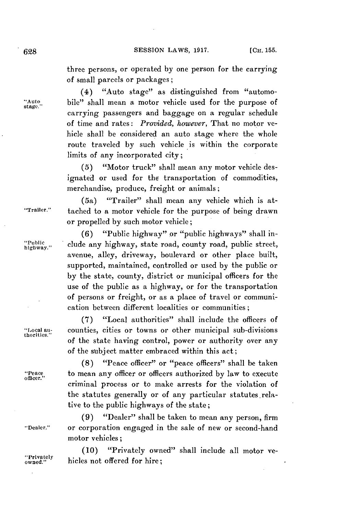three persons, or operated **by** one person for the carrying of small parcels or packages;

(4) "Auto stage" as distinguished from "automo- "Auto, bile" shall mean a motor vehicle used for the purpose of carrying passengers and baggage on a regular schedule of time and rates: *Provided, however,* That no motor vehicle shall be considered an auto stage where the whole route traveled **by** such vehicle is within the corporate limits of any incorporated city;

> **(5)** "Motor truck" shall mean any motor vehicle designated or used for the transportation of commodities, merchandise, produce, freight or animals;

(5a) "Trailer" shall mean any vehicle which is at- "Trailer." tached to a motor vehicle for the purpose of being drawn or propelled **by** such motor vehicle;

**(6)** "Public highway" or "public highways" shall in- "Public ... clude any highway, state road, county road, public street, avenue, alley, driveway, boulevard or other place built, supported, maintained, controlled or used **by** the public or **by** the state, county, district or municipal officers for the use of the public as a highway, or for the transportation of persons or freight, or as a place of travel or communication between different localities or communities;

**(7)** "Local authorities" shall include the officers of **\*I** ocal au- counties, cities or towns or other municipal sub-divisions of the state having control, power or authority over any of the subject matter embraced within this act;

**(8)** "Peace officer" or "peace officers" shall be taken "Peace to mean any officer or officers authorized by law to execute officer." criminal process or to make arrests for the violation of the statutes generally or of any particular statutes relative to the public highways of the state;

**(9)** "Dealer" shall be taken to mean any person, firm "Dealer." or corporation engaged in the sale of new or second-hand motor vehicles;

> **(10)** "Privately owned" shall include all motor ve hicles not offered for hire;

stage.

thorities."

"Privately<br>owned."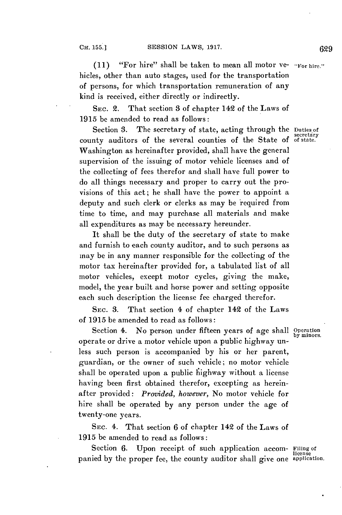**(11)** "For hire" shall be taken to mean all motor ve- "For hire." hicles, other than auto stages, used for the transportation of persons, for which transportation remuneration of any kind is received, either directly or indirectly.

**SEc.** 2. That section **3** of chapter 142 of the Laws of **1915** be amended to read as follows:

Section 3. The secretary of state, acting through the Duties of secretary county auditors of the several counties of the State of **of** state. Washington as hereinafter provided, shall have the general supervision of the issuing of motor vehicle licenses and of the collecting of fees therefor and shall have full power to do all things necessary and proper to carry out the provisions of this act; he shall have the power to appoint a deputy and such clerk or clerks as may be required from time to time, and may purchase all materials and make all expenditures as may be necessary hereunder.

It shall be the duty of the secretary of state to make and furnish to each county auditor, and to such persons as may be in any manner responsible for the collecting of the motor tax hereinafter provided for, a tabulated list of all motor vehicles, except motor cycles, giving the make, model, the year built and horse power and setting opposite each such description the license fee charged therefor.

**SEc. 3.** That section 4 of chapter 142 of the Laws of **1915** be amended to read as follows:

Section 4. No person under fifteen years of age shall Operation operate or drive a motor vehicle upon a public highway unless such person is accompanied **by** his or her parent, guardian, or the owner of such vehicle; no motor vehicle shall be operated upon a public fiighway without a license having been first obtained therefor, excepting as hereinafter provided: *Provided, however,* No motor vehicle for hire shall be operated **by** any person under the age of twenty-one years.

**SEc.** 4. That section **6** of chapter 142 of the Laws of **1915** be amended to read as follows:

Section 6. Upon receipt of such application accom- Filing of panied by the proper fee, the county auditor shall give one application

by minors.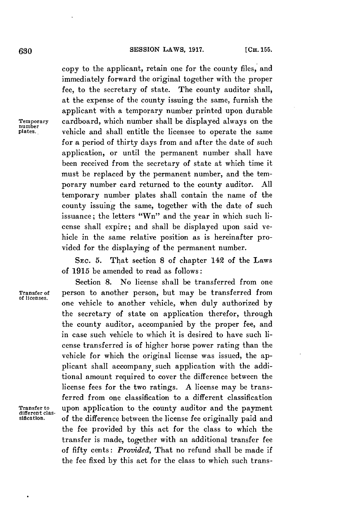copy to the applicant, retain one for the county files, and immediately forward the original together with the proper fee, to the secretary of state. The county auditor shall, at the expense of the county issuing the same, furnish the applicant with a temporary number printed upon durable **Temporary** cardboard, which number shall **be** displayed always on the vehicle and shall entitle the licensee to operate the same for a period of thirty days from and after the date of such application, or until the permanent number shall have been received from the secretary of state at which time it must be replaced **by** the permanent number, and the temporary number card returned to the county auditor. **All** temporary number plates shall contain the name of the county issuing the same, together with the date of such issuance; the letters "Wn" and the year in which such license shall expire; and shall be displayed upon said vehicle in the same relative position as is hereinafter provided for the displaying of the permanent number.

SEc. **5.** That section **8** of chapter 142 of the Laws of **1915** be amended to read as follows:

**of licenses.**

Section **8.** No license shall be transferred from one **Transfer of** person to another person, but may be transferred from one vehicle to another vehicle, when duly authorized **by** the secretary of state on application therefor, through the county auditor, accompanied **by** the proper fee, and in case such vehicle to which it is desired to have such license transferred is of higher horse power rating than the vehicle for which the original license was issued, the applicant shall accompany. such application with the additional amount required to cover the difference between the license fees for the two ratings. **A** license may be transferred from one classification to a different classification Transfer to upon application to the county auditor and the payment<br>different clas-<br>sification. of the difference between the license fee originally paid and **sification.** of the difference between the license fee originally paid and the fee provided **by** this act for the class to which the transfer is made, together with an additional transfer fee of fifty cents: *Provided,* That no refund shall be made if the fee fixed **by** this act for the class to which such trans-

**Temporary**<br>number<br>plates.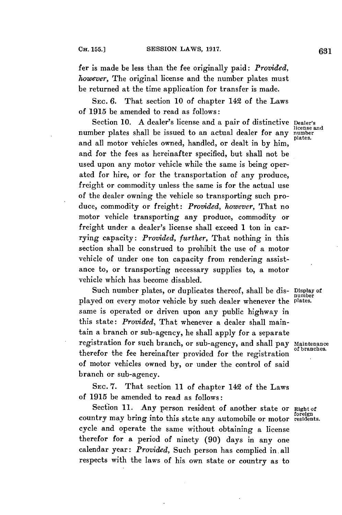fer is made be less than the fee originally paid: *Provided, however,* The original license and the number plates must be returned at the time application for transfer is made.

**SEC. 6.** That section **10** of chapter **142** of the Laws of **1915** be amended to read as follows:

Section 10. A dealer's license and a pair of distinctive Dealer's license and number plates shall be issued to an actual dealer for any number and all motor vehicles owned, handled, or dealt in **by** him, and for the fees as hereinafter specified, but shall not be used upon any motor vehicle while the same is being operated for hire, or for the transportation of any produce, freight or commodity unless the same is for the actual use of the dealer owning the vehicle so transporting such produce, commodity or freight: *Provided, however,* That no motor vehicle transporting any produce, commodity or freight under a dealer's license shall exceed **1** ton in carrying capacity: *Provided, further,* That nothing in this section shall be construed to prohibit the use of a motor vehicle of under one ton capacity from rendering assistance to, or transporting necessary supplies to, a motor vehicle which has become disabled.

Such number plates, or duplicates thereof, shall be dis- Display of<br>yed on every motor vehicle by such dealer whenever the plates. played on every motor vehicle by such dealer whenever the same is operated or driven upon any public highway in this state: *Provided,* That whenever a dealer shall maintain a branch or sub-agency, he shall apply for a separate registration for such branch, or sub-agency, and shall pay Maintenance therefor the fee hereinafter provided for the registration of motor vehicles owned **by,** or under the control of said branch or sub-agency.

**SEC. 7.** That section **11** of chapter **142** of the Laws of **1915** be amended to read as follows:

Section 11. Any person resident of another state or Right of country may bring into this state any automobile or motor residents. cycle and operate the same without obtaining a license therefor for a period of ninety **(90)** days in any one calendar year: *Provided,* Such person has complied in.all respects with the laws of his own state or country as to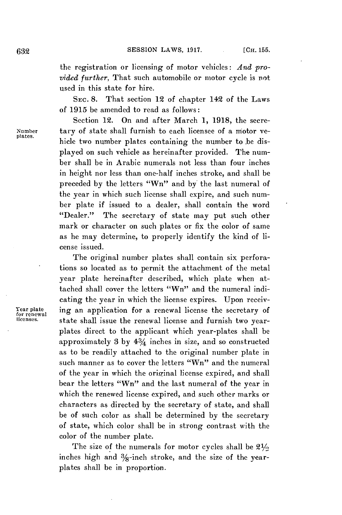the registration or licensing of motor vehicles: *And provided further,* That such automobile or motor cycle is not used in this state for hire.

**SEc. 8.** That section 12 of chapter 142 of the Laws of **1915** be amended to read as follows:

Section 12. On and after March **1, 1918,** the secre-**Number** tary of state shall furnish to each licensee of a motor vehicle two number plates containing the number to .be displayed on such vehicle as hereinafter provided. The number shall be in Arabic numerals not less than four inches in height nor less than one-half inches stroke, and shall be preceded **by** the letters "Wn" and by' the last numeral of the year in which such license shall expire, and such number plate if issued to a dealer, shall contain the word "Dealer." The secretary of state may put such other mark or character on such plates or fix the color of same as he may determine, to properly identify the kind of license issued.

**The** original number plates shall contain six perforations so located as to permit the attachment of the metal year plate hereinafter described, which plate when attached shall cover the letters "Wn" and the numeral indicating the year in which the license expires. Upon receiv-Year plate ing an application for a renewal license the secretary of<br>for renewal state shall issue the renewal license and furnish two yearstate shall issue the renewal license and furnish two yearplates direct to the applicant which year-plates shall be approximately **3 by** 43/4 inches in size, and so constructed as to be readily attached to the original number plate in such manner as to cover the letters "Wn" and the numeral of the year in which the original license expired, and shall bear the letters "Wn" and the last numeral of the year in which the renewed license expired, and such other marks or characters as directed **by** the secretary of state, and shall be of such color as shall be determined **by** the secretary of state, which color shall be in strong contrast with the color of the number plate.

> The size of the numerals for motor cycles shall be **21/** inches high and  $\frac{3}{8}$ -inch stroke, and the size of the yearplates shall be in proportion.

plates.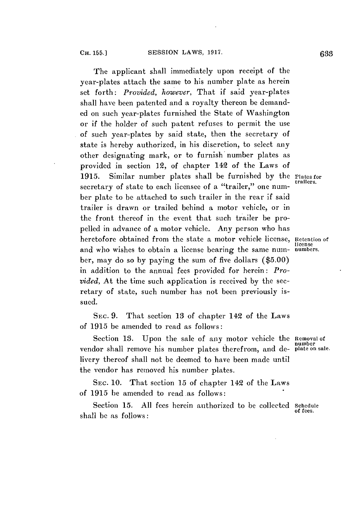The applicant shall immediately upon receipt of the year-plates attach the same to his number plate as herein set forth: *Provided, however,* That if said year-plates shall have been patented and a royalty thereon be demanded on such year-plates furnished the State of Washington or if the holder of such patent refuses to permit the use of such year-plates **by** said state, then the secretary of state is hereby authorized, in his discretion, to select any other designating mark, or to furnish number plates as provided in section 12, of chapter 142 of the Laws of **1915.** Similar number plates shall be furnished **by** the Plates for secretary of state to each licensee of a "trailer," one number plate to be attached to such trailer in the rear if said trailer is drawn or trailed behind a motor vehicle, or in the front thereof in the event that such trailer be propelled in advance of a motor vehicle. Any person who has heretofore obtained from the state a motor vehicle license, Retention of and who wishes to obtain a license bearing the same number, may do so **by** paying the sum of five dollars **(\$5.00)** in addition to the annual fees provided for herein: *Provided,* At the time such application is received **by** the secretary of state, such number has not been previously issued.

**SEC. 9.** That section **13** of chapter 142 of the Laws of **1915** be amended to read as follows:

Section **13.** Upon the sale of any motor vehicle the Removal of vendor shall remove his number plates therefrom, and de-plate on sale. livery thereof shall not be deemed to have been made until the vendor has removed his number plates.

SEC. **10.** That section **15** of chapter 142 of the Laws of **1915** be amended to read .as follows:

Section 15. All fees herein authorized to be collected schedule shall be as follows:

number

trailers.

license<br>numbers.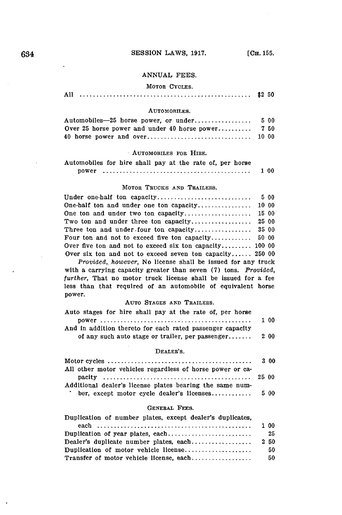# 634 **SESSION LAWS, 1917.** [CH. 155.

### **ANNUAL FEES.**

## MOTOR **CYCLES.**

| $-1$ |  |
|------|--|
|      |  |

## **AUTOMOBILES.**

#### AUTOMOBILES FOR HIRE.

| Automobiles for hire shall pay at the rate of, per horse |  |  |  |  |  |  |  |
|----------------------------------------------------------|--|--|--|--|--|--|--|
|                                                          |  |  |  |  |  |  |  |

|--|--|--|

### MOTOR TRUCKS **AND** TRAILERS.

| Over five ton and not to exceed six ton capacity 100 00  |  |
|----------------------------------------------------------|--|
| Over six ton and not to exceed seven ton capacity 250 00 |  |

*Provided,. however,* No license shall be issued for any truck with a carrying capacity greater than seven **(7)** tons. *Provided, further,* That no motor truck license shall be issued for a fee less than that required of an automobile of equivalent horse power.

#### **AUTO STAGES AND** TRAILERS.

| Auto stages for hire shall pay at the rate of, per horse  |      |
|-----------------------------------------------------------|------|
|                                                           | 1 00 |
| And in addition thereto for each rated passenger capacity |      |
| of any such auto stage or trailer, per passenger          | 2 00 |

## DEALER'S.

|                                                           | 3 00 |
|-----------------------------------------------------------|------|
| All other motor vehicles regardless of horse power or ca- |      |
|                                                           |      |
| Additional dealer's license plates bearing the same num-  |      |
| ber, except motor cycle dealer's licenses $5\,00$         |      |

### **GENERAL FEES.**

| Duplication of number plates, except dealer's duplicates, |      |
|-----------------------------------------------------------|------|
|                                                           | 100  |
| Duplication of year plates, each                          | 25   |
|                                                           | 2 50 |
| Duplication of motor vehicle license                      | 50   |
| Transfer of motor vehicle license, each                   | 50   |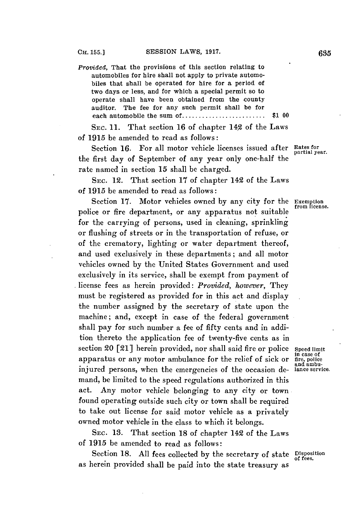*Provided,* That the provisions of this section relating to automobiles for hire shall not apply to private automobiles that shall be operated for hire for a period of two days or less, and for which a special permit so to operate shall have been obtained from the county auditor. The fee for any such permit shall be for each automobile the sum **of...................... \$1 00**

**SEC. 11.** That section **16** of chapter 142 of the Laws of **1915** be amended to read as follows:

Section 16. For all motor vehicle licenses issued after Rates for partial year. the first day of September of any year only one-half the rate named in section **15** shall be charged.

**SEC.** 12. That section **17** of chapter 142 of the Laws of **1915** be amended to read as follows:

Section 17. Motor vehicles owned by any city for the Exemption from license. police or fire department, or any apparatus not suitable for the carrying of persons, used in cleaning, sprinkling or flushing of streets or in the transportation of refuse, or of the crematory, lighting or water department thereof, and used exclusively in these departments; and all motor vehicles owned **by** the United States Government and used exclusively in its service, shall be exempt from payment of license fees as herein provided: *Provided, however, They* must be registered as provided for in this act and display the number assigned **by** the secretary of state upon the machine; and, except in case of the federal government shall pay for such number a fee of fifty cents and in addition thereto the application fee of twenty-five cents as in section 20 [21] herein provided, nor shall said fire or police speed limit apparatus or any motor ambulance for the relief of sick or  $\frac{f_{\text{inc}}}{f_{\text{inc}}}$  and ambu-<br>injured persons, when the emergencies of the occasion de-<br>ance service. injured persons, when the emergencies of the occasion demand, be limited to the speed regulations authorized in this act. Any motor vehicle belonging to any city or town found operating outside such city or town shall be required to take out license for said motor vehicle as a privately owned motor vehicle in the class to which it belongs.

**SEC. 13.** That section **18** of chapter 142 of the Laws of **1915** be amended to read as follows:

Section **18. All** fees collected **by** the secretary of state Disposition **of** fees. as herein provided shall be paid into the state treasury as

in case of<br>fire, police<br>and ambu-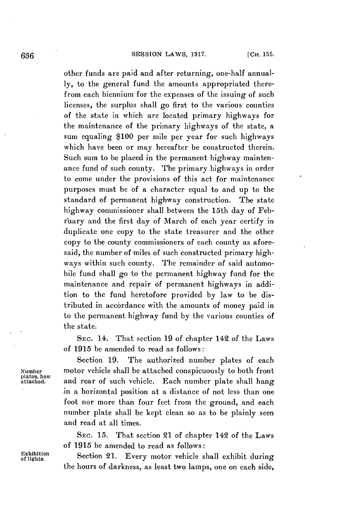other funds are paid and after returning, one-half annual**ly,** to the general fund the amounts appropriated therefrom each biennium for the expenses of the issuing of such licenses, the surplus shall go first to the various counties of the state in which are located primary highways for the maintenance of the primary highways of the state, a sum equaling **\$100** per mile per year for such highways which have been or may hereafter be constructed therein. Such sum to be placed in the permanent highway maintenance fund of such county. The primary highways in order to come under the provisions of this act for maintenance purposes must be of a character equal to and up to the standard of permanent highway construction. **The** state highway commissioner shall between the 15th day of **Feb**ruary and the first day of March of each year certify in duplicate one copy to the state treasurer and the other copy to the county commissioners of each county as aforesaid, the number of miles of such constructed primary highways within such county. The remainder of said automobile fund shall go to the permanent highway fund for the maintenance and repair of permanent highways in addition to the fund heretofore provided **by** law to be distributed in accordance with the amounts of money paid in to the permanent highway fund **by** the various counties of the state.

SEc. 14. That section **19** of chapter 142 of the Laws of **1915** be amended to read as follows:

**plates, how**

Section **19.** The authorized number plates of each **Number** motor vehicle shall be attached conspicuously to both front and rear of such vehicle. Each number plate shall hang **in** a horizontal position at a distance of not less than one foot nor more than four feet from the ground, and each number plate shall be kept clean so as to be plainly seen and read at all times.

> SEc. **15.** That section 21 of chapter 142 of the Laws of **1915** be amended to read as follows:

Exhibition Section 21. Every motor vehicle shall exhibit during the hours of darkness, as least two lamps, one on each side,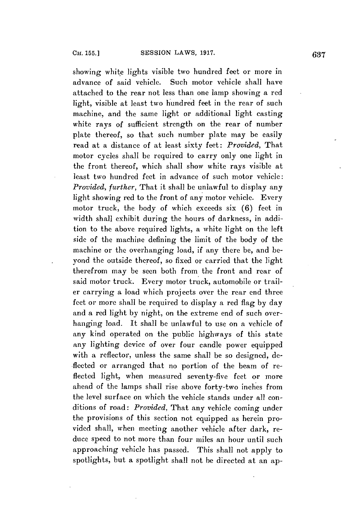showing white lights visible two hundred feet or more in advance of said vehicle. Such motor vehicle shall have attached to the rear not less than one lamp showing a red light, visible at least two hundred feet in the rear of such machine, and the same light or additional light casting white rays of sufficient strength on the rear of number plate thereof, so that such number plate may be easily read at a distance of at least sixty feet: *Provided,* That motor cycles shall be required to carry only one light in the front thereof, which shall show white rays visible at least two hundred feet in advance of such motor vehicle: *Provided, further,* That it shall be unlawful to display any light showing red to the front of any motor vehicle. Every motor truck, the body of which exceeds six **(6)** feet in width shall exhibit during the hours of darkness, in addition to the above required lights, a white light on the left side of the machine defining the limit of the body of the machine or the overhanging load, if any there be, and beyond the outside thereof, so fixed or carried that the light therefrom may **be** seen both from the front and rear of said motor truck. Every motor truck, automobile or trailer carrying a load which projects over the rear end three feet or more shall be required to display a red flag **by** day and a red light **by** night, on the extreme end of such overhanging load. It shall be unlawful to use on a vehicle of any kind operated on the public highways of this state any lighting device of over four candle power equipped with a reflector, unless the same shall be so designed, deflected or arranged that no portion of the beam of reflected light, when measured seventy-five feet or more ahead of the lamps shall rise above forty-two inches from the level surface on which the vehicle stands under all conditions of road: *Provided,* That any vehicle coming under the provisions of this section not equipped as herein provided shall, when meeting another vehicle after dark, reduce speed to not more than four miles an hour until such approaching vehicle has passed. This shall not apply to spotlights, but a spotlight shall not be directed at an ap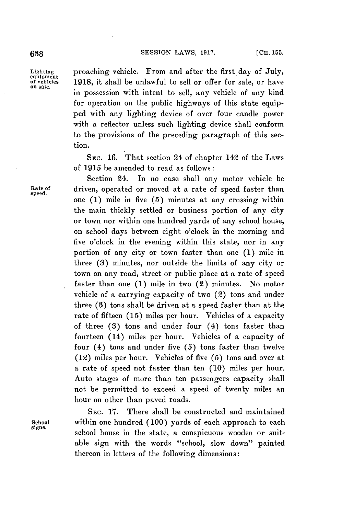**638 SESSION LAWS, 1917.** [CH. 155.

Lighting proaching vehicle. From and after the first day of July,<br>
equipment<br>
of vehicles 1918, it shall be unlawful to sell or offer for sale, or have of vehicles **1918,** it shall **be** unlawful to sell or offer for sale, or have on sale. in possession with intent to sell, any vehicle of any kind for operation on the public highways of this state equip**ped** with any lighting device of over four candle power with a reflector unless such lighting device shall conform to the provisions of the preceding paragraph of this section.

> **SEC. 16.** That section 24 of chapter 142 of the Laws of **1915** be amended to read as follows:

Section 24. In no case shall any motor vehicle be Rate of driven, operated or moved at a rate of speed faster than one **(1)** mile in five **(5)** minutes at any crossing within the main thickly settled or business portion of any city or town nor within one hundred yards of any school house, on school days between eight o'clock in the morning and five o'clock in the evening within this state, nor in any portion of any city or town faster than one **(1)** mile in three **(8)** minutes, nor outside the limits of any city or town on any road, street or public place at a rate of speed faster than one **(1)** mile in two (2) minutes. No motor vehicle of a carrying capacity of two (2) tons and under three **(3)** tons shall **be** driven at a speed faster than at the rate of fifteen **(15)** miles per hour. Vehicles of a capacity of three **(3)** tons and under four (4) tons faster than fourteen (14) miles per hour. Vehicles of a capacity of four (4) tons and under five **(5)** tons faster than twelve (12) miles per hour. Vehicles of five **(5)** tons and over at a rate of speed not faster than ten **(10)** miles per hour. Auto stages of more than ten passengers capacity shall not be permitted to exceed a speed of twenty miles an hour on other than paved roads.

SEC. **17.** There shall be constructed and maintained School within one hundred (100) yards of each approach to each<br>signs. school house in the state, a conspicuous wooden or suitable sign with the words "school, slow down" painted thereon in letters of the following dimensions: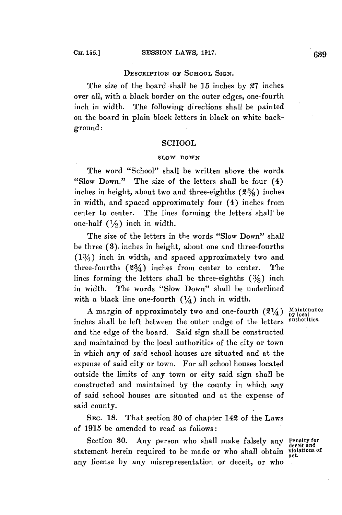# DESCRIPTION **OF SCHOOL** SIGN.

The size of the board -shall be **15** inches **by 27** inches over all, with a black border on the outer edges, one-fourth inch in width. The following directions shall be painted on the board in plain block letters in black on white background:

# **SCHOOL**

# **SLOW DOWN**

The word "School" shall be written above the words "Slow Down." The size of the letters shall be four (4) inches in height, about two and three-eighths **(23/8)** inches in width, and spaced approximately four (4) inches from center to center. The lines forming the letters shall' be one-half  $(1/2)$  inch in width.

The size of the letters in the words "Slow Down" shall be three **(3).** inches in height, about one and three-fourths  $(13/4)$  inch in width, and spaced approximately two and three-fourths  $(23/4)$  inches from center to center. The lines forming the letters shall be three-eighths  $(3/6)$  inch in width. The words "Slow Down" shall be underlined with a black line one-fourth  $(1/4)$  inch in width.

A margin of approximately two and one-fourth  $(2\frac{1}{4})$  Maintenance inches shall be left between the outer endge of the letters authorities. and the edge of the board. Said sign shall be constructed and maintained **by** the local authorities of the city or town in which any of said school houses are situated and at the expense of said city or town. For all school houses located outside the limits of any town or city said sign shall be constructed and maintained **by** the county in which any of said school houses are situated and at the expense of said county.

SEC. **18.** That section **30** of chapter 142 of the Laws of **1915 be** amended to read as follows:

Section **30.** Any person who shall make falsely any **Penalty for** statement herein required to be made or who shall obtain violations of any license **by** any misrepresentation or deceit, or who

**deceit and**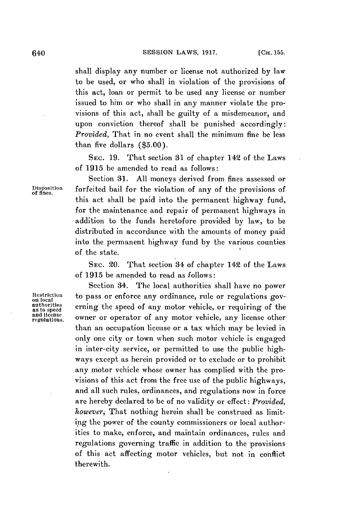shall display any number or license not authorized **by** law to be used, or who shall in violation of the provisions of this act, loan or permit to be used any license or number issued to him or who shall in any manner violate the provisions of this act, shall be guilty of a misdemeanor, and upon conviction thereof shall be punished accordingly: *Provided,* That in no event shall the minimum fine be less than five dollars **(\$5.00).**

**SEc. 19.** That section **31** of chapter 142 of the Laws of **1915** be amended to read as follows:

Section **31. All** moneys derived from fines assessed or Disposition forfeited bail for the violation of any of the provisions of this act shall be paid into the permanent highway fund, for the maintenance and repair of permanent highways in addition to the funds heretofore provided **by** law, to be distributed in accordance with the amounts of money paid into the permanent highway fund **by** the various counties of the state.

> **SEC.** 20. That section 34 of chapter 142 of the Laws of **1915** be amended to read as follows:

Section 34. The local authorities shall have no power Restriction to pass or enforce any ordinance, rule or regulations gov-<br>authorities<br>anto speed of any motor vehicle, or requiring of the<br>and license erning the speed of any motor vehicle, or requiring of the and license owner or operator of any motor vehicle, any license other than an occupation license or a tax which may be levied in only one city or town when such motor vehicle is engaged in inter-city service, or permitted to use the public highways except as herein provided or to exclude or to prohibit any motor vehicle whose owner has complied with the provisions of this act from the free use of the public highways, and all such rules, ordinances, and regulations now in force are hereby declared to be of no validity or effect: *Provided, however,* That nothing herein shall be construed as limiting the power of the county commissioners or local authorities to make, enforce, and maintain ordinances, rules and regulations governing traffic in addition to the provisions of this act affecting motor vehicles, but not in conflict therewith.